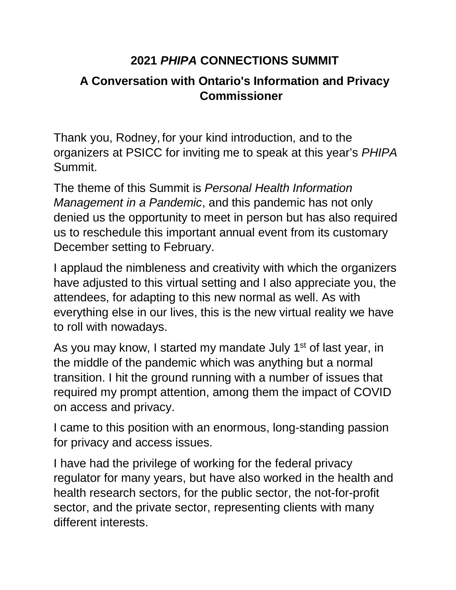## **2021** *PHIPA* **CONNECTIONS SUMMIT**

## **A Conversation with Ontario's Information and Privacy Commissioner**

Thank you, Rodney, for your kind introduction, and to the organizers at PSICC for inviting me to speak at this year's *PHIPA* Summit.

The theme of this Summit is *Personal Health Information Management in a Pandemic*, and this pandemic has not only denied us the opportunity to meet in person but has also required us to reschedule this important annual event from its customary December setting to February.

I applaud the nimbleness and creativity with which the organizers have adjusted to this virtual setting and I also appreciate you, the attendees, for adapting to this new normal as well. As with everything else in our lives, this is the new virtual reality we have to roll with nowadays.

As you may know, I started my mandate July 1<sup>st</sup> of last year, in the middle of the pandemic which was anything but a normal transition. I hit the ground running with a number of issues that required my prompt attention, among them the impact of COVID on access and privacy.

I came to this position with an enormous, long-standing passion for privacy and access issues.

I have had the privilege of working for the federal privacy regulator for many years, but have also worked in the health and health research sectors, for the public sector, the not-for-profit sector, and the private sector, representing clients with many different interests.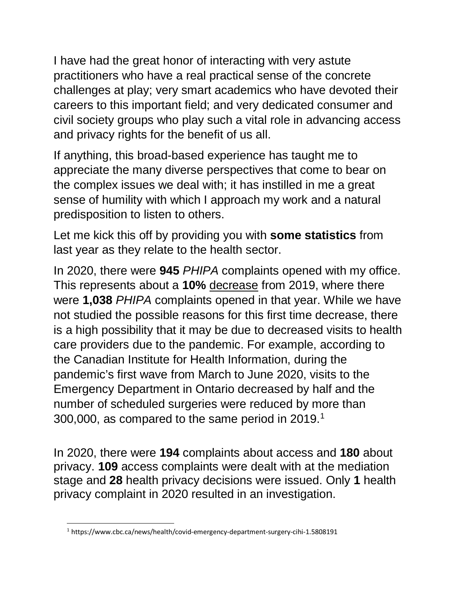I have had the great honor of interacting with very astute practitioners who have a real practical sense of the concrete challenges at play; very smart academics who have devoted their careers to this important field; and very dedicated consumer and civil society groups who play such a vital role in advancing access and privacy rights for the benefit of us all.

If anything, this broad-based experience has taught me to appreciate the many diverse perspectives that come to bear on the complex issues we deal with; it has instilled in me a great sense of humility with which I approach my work and a natural predisposition to listen to others.

Let me kick this off by providing you with **some statistics** from last year as they relate to the health sector.

In 2020, there were **945** *PHIPA* complaints opened with my office. This represents about a **10%** decrease from 2019, where there were **1,038** *PHIPA* complaints opened in that year. While we have not studied the possible reasons for this first time decrease, there is a high possibility that it may be due to decreased visits to health care providers due to the pandemic. For example, according to the Canadian Institute for Health Information, during the pandemic's first wave from March to June 2020, visits to the Emergency Department in Ontario decreased by half and the number of scheduled surgeries were reduced by more than 300,000, as compared to the same period in 2019.[1](#page-1-0)

In 2020, there were **194** complaints about access and **180** about privacy. **109** access complaints were dealt with at the mediation stage and **28** health privacy decisions were issued. Only **1** health privacy complaint in 2020 resulted in an investigation.

<span id="page-1-0"></span><sup>&</sup>lt;sup>1</sup> https://www.cbc.ca/news/health/covid-emergency-department-surgery-cihi-1.5808191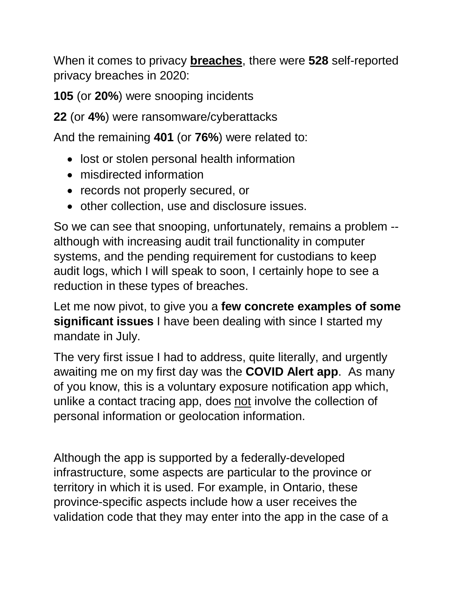When it comes to privacy **breaches**, there were **528** self-reported privacy breaches in 2020:

**105** (or **20%**) were snooping incidents

**22** (or **4%**) were ransomware/cyberattacks

And the remaining **401** (or **76%**) were related to:

- lost or stolen personal health information
- misdirected information
- records not properly secured, or
- other collection, use and disclosure issues.

So we can see that snooping, unfortunately, remains a problem - although with increasing audit trail functionality in computer systems, and the pending requirement for custodians to keep audit logs, which I will speak to soon, I certainly hope to see a reduction in these types of breaches.

Let me now pivot, to give you a **few concrete examples of some significant issues** I have been dealing with since I started my mandate in July.

The very first issue I had to address, quite literally, and urgently awaiting me on my first day was the **COVID Alert app**. As many of you know, this is a voluntary exposure notification app which, unlike a contact tracing app, does not involve the collection of personal information or geolocation information.

Although the app is supported by a federally-developed infrastructure, some aspects are particular to the province or territory in which it is used. For example, in Ontario, these province-specific aspects include how a user receives the validation code that they may enter into the app in the case of a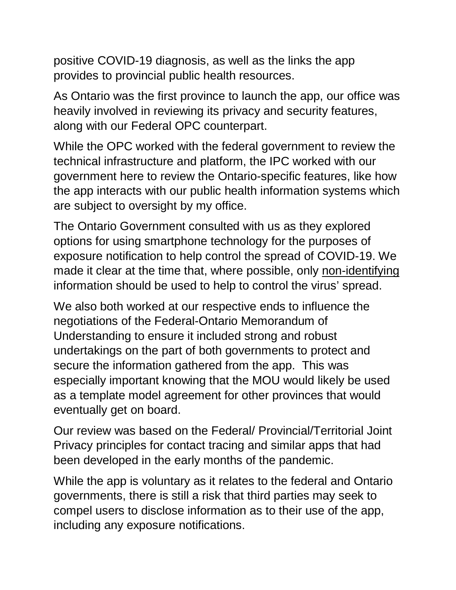positive COVID-19 diagnosis, as well as the links the app provides to provincial public health resources.

As Ontario was the first province to launch the app, our office was heavily involved in reviewing its privacy and security features, along with our Federal OPC counterpart.

While the OPC worked with the federal government to review the technical infrastructure and platform, the IPC worked with our government here to review the Ontario-specific features, like how the app interacts with our public health information systems which are subject to oversight by my office.

The Ontario Government consulted with us as they explored options for using smartphone technology for the purposes of exposure notification to help control the spread of COVID-19. We made it clear at the time that, where possible, only non-identifying information should be used to help to control the virus' spread.

We also both worked at our respective ends to influence the negotiations of the Federal-Ontario Memorandum of Understanding to ensure it included strong and robust undertakings on the part of both governments to protect and secure the information gathered from the app. This was especially important knowing that the MOU would likely be used as a template model agreement for other provinces that would eventually get on board.

Our review was based on the Federal/ Provincial/Territorial Joint Privacy principles for contact tracing and similar apps that had been developed in the early months of the pandemic.

While the app is voluntary as it relates to the federal and Ontario governments, there is still a risk that third parties may seek to compel users to disclose information as to their use of the app, including any exposure notifications.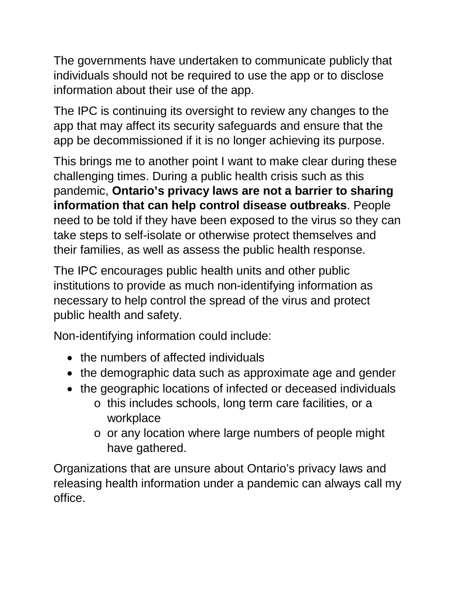The governments have undertaken to communicate publicly that individuals should not be required to use the app or to disclose information about their use of the app.

The IPC is continuing its oversight to review any changes to the app that may affect its security safeguards and ensure that the app be decommissioned if it is no longer achieving its purpose.

This brings me to another point I want to make clear during these challenging times. During a public health crisis such as this pandemic, **Ontario's privacy laws are not a barrier to sharing information that can help control disease outbreaks**. People need to be told if they have been exposed to the virus so they can take steps to self-isolate or otherwise protect themselves and their families, as well as assess the public health response.

The IPC encourages public health units and other public institutions to provide as much non-identifying information as necessary to help control the spread of the virus and protect public health and safety.

Non-identifying information could include:

- the numbers of affected individuals
- the demographic data such as approximate age and gender
- the geographic locations of infected or deceased individuals
	- o this includes schools, long term care facilities, or a workplace
	- o or any location where large numbers of people might have gathered.

Organizations that are unsure about Ontario's privacy laws and releasing health information under a pandemic can always call my office.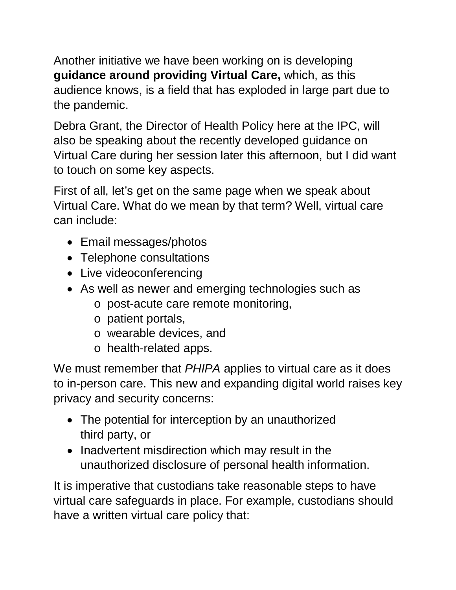Another initiative we have been working on is developing **guidance around providing Virtual Care,** which, as this audience knows, is a field that has exploded in large part due to the pandemic.

Debra Grant, the Director of Health Policy here at the IPC, will also be speaking about the recently developed guidance on Virtual Care during her session later this afternoon, but I did want to touch on some key aspects.

First of all, let's get on the same page when we speak about Virtual Care. What do we mean by that term? Well, virtual care can include:

- Email messages/photos
- Telephone consultations
- Live videoconferencing
- As well as newer and emerging technologies such as
	- o post-acute care remote monitoring,
	- o patient portals,
	- o wearable devices, and
	- o health-related apps.

We must remember that *PHIPA* applies to virtual care as it does to in-person care. This new and expanding digital world raises key privacy and security concerns:

- The potential for interception by an unauthorized third party, or
- Inadvertent misdirection which may result in the unauthorized disclosure of personal health information.

It is imperative that custodians take reasonable steps to have virtual care safeguards in place. For example, custodians should have a written virtual care policy that: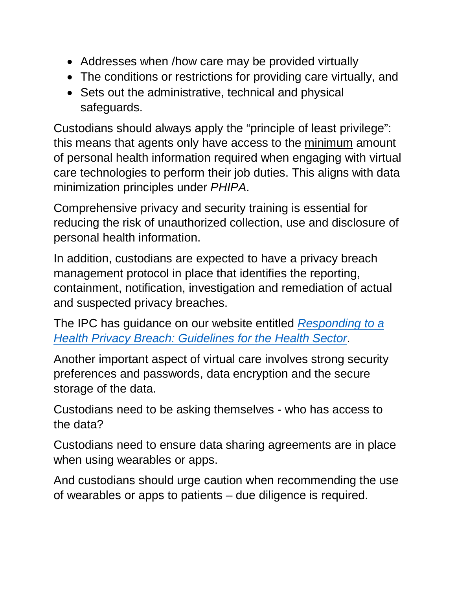- Addresses when /how care may be provided virtually
- The conditions or restrictions for providing care virtually, and
- Sets out the administrative, technical and physical safeguards.

Custodians should always apply the "principle of least privilege": this means that agents only have access to the minimum amount of personal health information required when engaging with virtual care technologies to perform their job duties. This aligns with data minimization principles under *PHIPA*.

Comprehensive privacy and security training is essential for reducing the risk of unauthorized collection, use and disclosure of personal health information.

In addition, custodians are expected to have a privacy breach management protocol in place that identifies the reporting, containment, notification, investigation and remediation of actual and suspected privacy breaches.

The IPC has guidance on our website entitled *[Responding to a](https://www.ipc.on.ca/wp-content/uploads/2018/10/health-privacy-breach-guidelines.pdf)  [Health Privacy Breach: Guidelines for the Health Sector](https://www.ipc.on.ca/wp-content/uploads/2018/10/health-privacy-breach-guidelines.pdf)*.

Another important aspect of virtual care involves strong security preferences and passwords, data encryption and the secure storage of the data.

Custodians need to be asking themselves - who has access to the data?

Custodians need to ensure data sharing agreements are in place when using wearables or apps.

And custodians should urge caution when recommending the use of wearables or apps to patients – due diligence is required.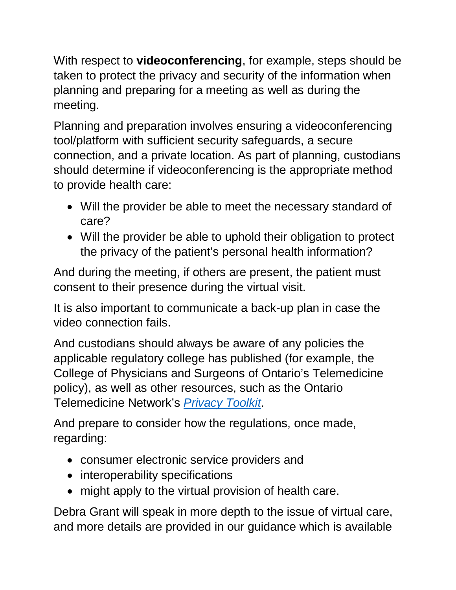With respect to **videoconferencing**, for example, steps should be taken to protect the privacy and security of the information when planning and preparing for a meeting as well as during the meeting.

Planning and preparation involves ensuring a videoconferencing tool/platform with sufficient security safeguards, a secure connection, and a private location. As part of planning, custodians should determine if videoconferencing is the appropriate method to provide health care:

- Will the provider be able to meet the necessary standard of care?
- Will the provider be able to uphold their obligation to protect the privacy of the patient's personal health information?

And during the meeting, if others are present, the patient must consent to their presence during the virtual visit.

It is also important to communicate a back-up plan in case the video connection fails.

And custodians should always be aware of any policies the applicable regulatory college has published (for example, the College of Physicians and Surgeons of Ontario's Telemedicine policy), as well as other resources, such as the Ontario Telemedicine Network's *[Privacy Toolkit](https://support.otn.ca/en/members/privacy-toolkit)*.

And prepare to consider how the regulations, once made, regarding:

- consumer electronic service providers and
- interoperability specifications
- might apply to the virtual provision of health care.

Debra Grant will speak in more depth to the issue of virtual care, and more details are provided in our guidance which is available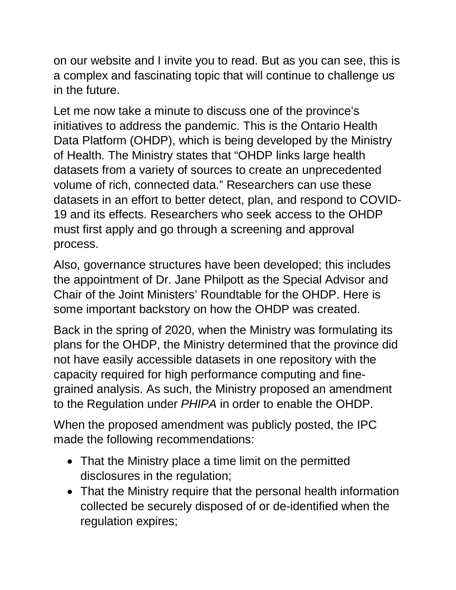on our website and I invite you to read. But as you can see, this is a complex and fascinating topic that will continue to challenge us in the future.

Let me now take a minute to discuss one of the province's initiatives to address the pandemic. This is the Ontario Health Data Platform (OHDP), which is being developed by the Ministry of Health. The Ministry states that "OHDP links large health datasets from a variety of sources to create an unprecedented volume of rich, connected data." Researchers can use these datasets in an effort to better detect, plan, and respond to COVID-19 and its effects. Researchers who seek access to the OHDP must first apply and go through a screening and approval process.

Also, governance structures have been developed; this includes the appointment of Dr. Jane Philpott as the Special Advisor and Chair of the Joint Ministers' Roundtable for the OHDP. Here is some important backstory on how the OHDP was created.

Back in the spring of 2020, when the Ministry was formulating its plans for the OHDP, the Ministry determined that the province did not have easily accessible datasets in one repository with the capacity required for high performance computing and finegrained analysis. As such, the Ministry proposed an amendment to the Regulation under *PHIPA* in order to enable the OHDP.

When the proposed amendment was publicly posted, the IPC made the following recommendations:

- That the Ministry place a time limit on the permitted disclosures in the regulation;
- That the Ministry require that the personal health information collected be securely disposed of or de-identified when the regulation expires;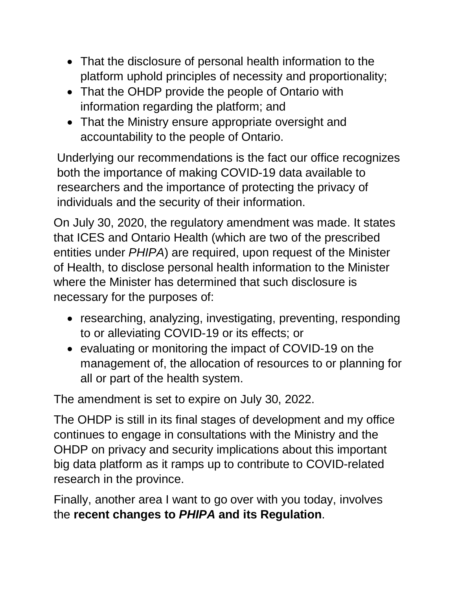- That the disclosure of personal health information to the platform uphold principles of necessity and proportionality;
- That the OHDP provide the people of Ontario with information regarding the platform; and
- That the Ministry ensure appropriate oversight and accountability to the people of Ontario.

Underlying our recommendations is the fact our office recognizes both the importance of making COVID-19 data available to researchers and the importance of protecting the privacy of individuals and the security of their information.

On July 30, 2020, the regulatory amendment was made. It states that ICES and Ontario Health (which are two of the prescribed entities under *PHIPA*) are required, upon request of the Minister of Health, to disclose personal health information to the Minister where the Minister has determined that such disclosure is necessary for the purposes of:

- researching, analyzing, investigating, preventing, responding to or alleviating COVID-19 or its effects; or
- evaluating or monitoring the impact of COVID-19 on the management of, the allocation of resources to or planning for all or part of the health system.

The amendment is set to expire on July 30, 2022.

The OHDP is still in its final stages of development and my office continues to engage in consultations with the Ministry and the OHDP on privacy and security implications about this important big data platform as it ramps up to contribute to COVID-related research in the province.

Finally, another area I want to go over with you today, involves the **recent changes to** *PHIPA* **and its Regulation**.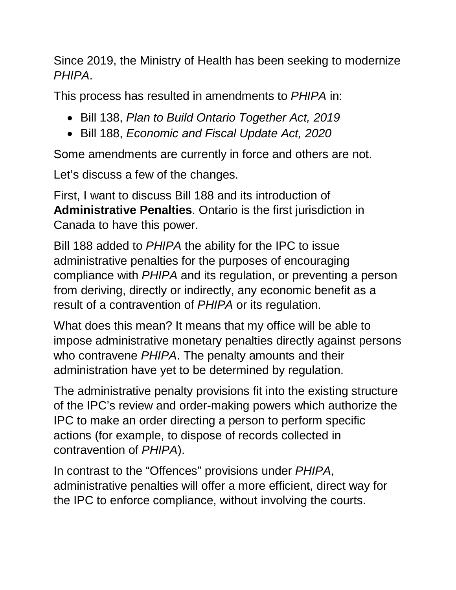Since 2019, the Ministry of Health has been seeking to modernize *PHIPA*.

This process has resulted in amendments to *PHIPA* in:

- Bill 138, *Plan to Build Ontario Together Act, 2019*
- Bill 188, *Economic and Fiscal Update Act, 2020*

Some amendments are currently in force and others are not.

Let's discuss a few of the changes.

First, I want to discuss Bill 188 and its introduction of **Administrative Penalties**. Ontario is the first jurisdiction in Canada to have this power.

Bill 188 added to *PHIPA* the ability for the IPC to issue administrative penalties for the purposes of encouraging compliance with *PHIPA* and its regulation, or preventing a person from deriving, directly or indirectly, any economic benefit as a result of a contravention of *PHIPA* or its regulation.

What does this mean? It means that my office will be able to impose administrative monetary penalties directly against persons who contravene *PHIPA*. The penalty amounts and their administration have yet to be determined by regulation.

The administrative penalty provisions fit into the existing structure of the IPC's review and order-making powers which authorize the IPC to make an order directing a person to perform specific actions (for example, to dispose of records collected in contravention of *PHIPA*).

In contrast to the "Offences" provisions under *PHIPA*, administrative penalties will offer a more efficient, direct way for the IPC to enforce compliance, without involving the courts.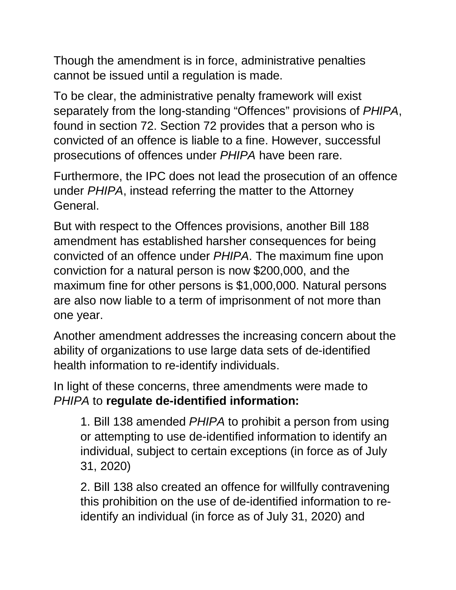Though the amendment is in force, administrative penalties cannot be issued until a regulation is made.

To be clear, the administrative penalty framework will exist separately from the long-standing "Offences" provisions of *PHIPA*, found in section 72. Section 72 provides that a person who is convicted of an offence is liable to a fine. However, successful prosecutions of offences under *PHIPA* have been rare.

Furthermore, the IPC does not lead the prosecution of an offence under *PHIPA*, instead referring the matter to the Attorney General.

But with respect to the Offences provisions, another Bill 188 amendment has established harsher consequences for being convicted of an offence under *PHIPA*. The maximum fine upon conviction for a natural person is now \$200,000, and the maximum fine for other persons is \$1,000,000. Natural persons are also now liable to a term of imprisonment of not more than one year.

Another amendment addresses the increasing concern about the ability of organizations to use large data sets of de-identified health information to re-identify individuals.

In light of these concerns, three amendments were made to *PHIPA* to **regulate de-identified information:**

1. Bill 138 amended *PHIPA* to prohibit a person from using or attempting to use de-identified information to identify an individual, subject to certain exceptions (in force as of July 31, 2020)

2. Bill 138 also created an offence for willfully contravening this prohibition on the use of de-identified information to reidentify an individual (in force as of July 31, 2020) and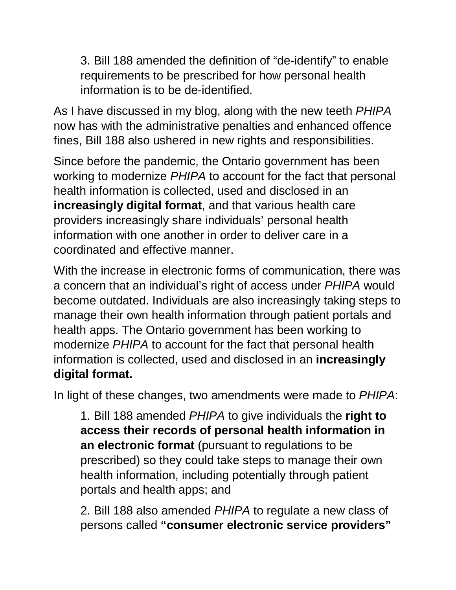3. Bill 188 amended the definition of "de-identify" to enable requirements to be prescribed for how personal health information is to be de-identified.

As I have discussed in my blog, along with the new teeth *PHIPA* now has with the administrative penalties and enhanced offence fines, Bill 188 also ushered in new rights and responsibilities.

Since before the pandemic, the Ontario government has been working to modernize *PHIPA* to account for the fact that personal health information is collected, used and disclosed in an **increasingly digital format**, and that various health care providers increasingly share individuals' personal health information with one another in order to deliver care in a coordinated and effective manner.

With the increase in electronic forms of communication, there was a concern that an individual's right of access under *PHIPA* would become outdated. Individuals are also increasingly taking steps to manage their own health information through patient portals and health apps. The Ontario government has been working to modernize *PHIPA* to account for the fact that personal health information is collected, used and disclosed in an **increasingly digital format.**

In light of these changes, two amendments were made to *PHIPA*:

1. Bill 188 amended *PHIPA* to give individuals the **right to access their records of personal health information in an electronic format** (pursuant to regulations to be prescribed) so they could take steps to manage their own health information, including potentially through patient portals and health apps; and

2. Bill 188 also amended *PHIPA* to regulate a new class of persons called **"consumer electronic service providers"**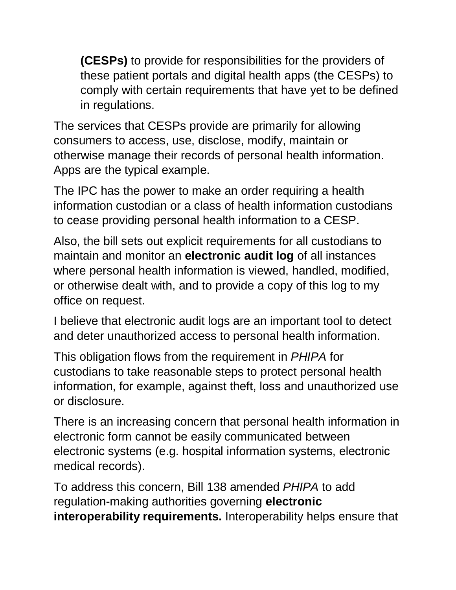**(CESPs)** to provide for responsibilities for the providers of these patient portals and digital health apps (the CESPs) to comply with certain requirements that have yet to be defined in regulations.

The services that CESPs provide are primarily for allowing consumers to access, use, disclose, modify, maintain or otherwise manage their records of personal health information. Apps are the typical example.

The IPC has the power to make an order requiring a health information custodian or a class of health information custodians to cease providing personal health information to a CESP.

Also, the bill sets out explicit requirements for all custodians to maintain and monitor an **electronic audit log** of all instances where personal health information is viewed, handled, modified, or otherwise dealt with, and to provide a copy of this log to my office on request.

I believe that electronic audit logs are an important tool to detect and deter unauthorized access to personal health information.

This obligation flows from the requirement in *PHIPA* for custodians to take reasonable steps to protect personal health information, for example, against theft, loss and unauthorized use or disclosure.

There is an increasing concern that personal health information in electronic form cannot be easily communicated between electronic systems (e.g. hospital information systems, electronic medical records).

To address this concern, Bill 138 amended *PHIPA* to add regulation-making authorities governing **electronic interoperability requirements.** Interoperability helps ensure that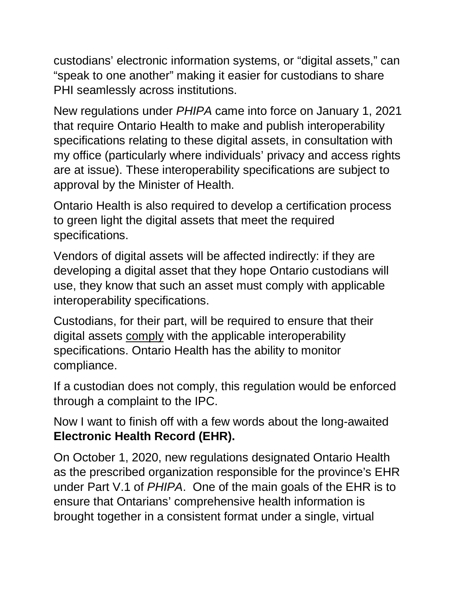custodians' electronic information systems, or "digital assets," can "speak to one another" making it easier for custodians to share PHI seamlessly across institutions.

New regulations under *PHIPA* came into force on January 1, 2021 that require Ontario Health to make and publish interoperability specifications relating to these digital assets, in consultation with my office (particularly where individuals' privacy and access rights are at issue). These interoperability specifications are subject to approval by the Minister of Health.

Ontario Health is also required to develop a certification process to green light the digital assets that meet the required specifications.

Vendors of digital assets will be affected indirectly: if they are developing a digital asset that they hope Ontario custodians will use, they know that such an asset must comply with applicable interoperability specifications.

Custodians, for their part, will be required to ensure that their digital assets comply with the applicable interoperability specifications. Ontario Health has the ability to monitor compliance.

If a custodian does not comply, this regulation would be enforced through a complaint to the IPC.

Now I want to finish off with a few words about the long-awaited **Electronic Health Record (EHR).**

On October 1, 2020, new regulations designated Ontario Health as the prescribed organization responsible for the province's EHR under Part V.1 of *PHIPA*. One of the main goals of the EHR is to ensure that Ontarians' comprehensive health information is brought together in a consistent format under a single, virtual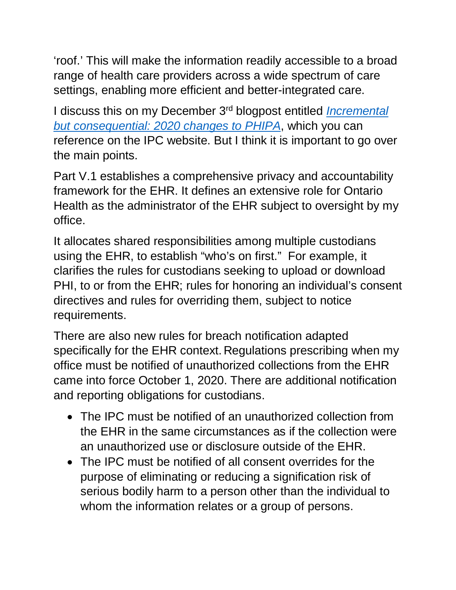'roof.' This will make the information readily accessible to a broad range of health care providers across a wide spectrum of care settings, enabling more efficient and better-integrated care.

I discuss this on my December 3rd blogpost entitled *[Incremental](https://www.ipc.on.ca/incremental-but-consequential-2020-changes-to-phipa/)  [but consequential: 2020 changes to PHIPA](https://www.ipc.on.ca/incremental-but-consequential-2020-changes-to-phipa/)*, which you can reference on the IPC website. But I think it is important to go over the main points.

Part V.1 establishes a comprehensive privacy and accountability framework for the EHR. It defines an extensive role for Ontario Health as the administrator of the EHR subject to oversight by my office.

It allocates shared responsibilities among multiple custodians using the EHR, to establish "who's on first." For example, it clarifies the rules for custodians seeking to upload or download PHI, to or from the EHR; rules for honoring an individual's consent directives and rules for overriding them, subject to notice requirements.

There are also new rules for breach notification adapted specifically for the EHR context. Regulations prescribing when my office must be notified of unauthorized collections from the EHR came into force October 1, 2020. There are additional notification and reporting obligations for custodians.

- The IPC must be notified of an unauthorized collection from the EHR in the same circumstances as if the collection were an unauthorized use or disclosure outside of the EHR.
- The IPC must be notified of all consent overrides for the purpose of eliminating or reducing a signification risk of serious bodily harm to a person other than the individual to whom the information relates or a group of persons.